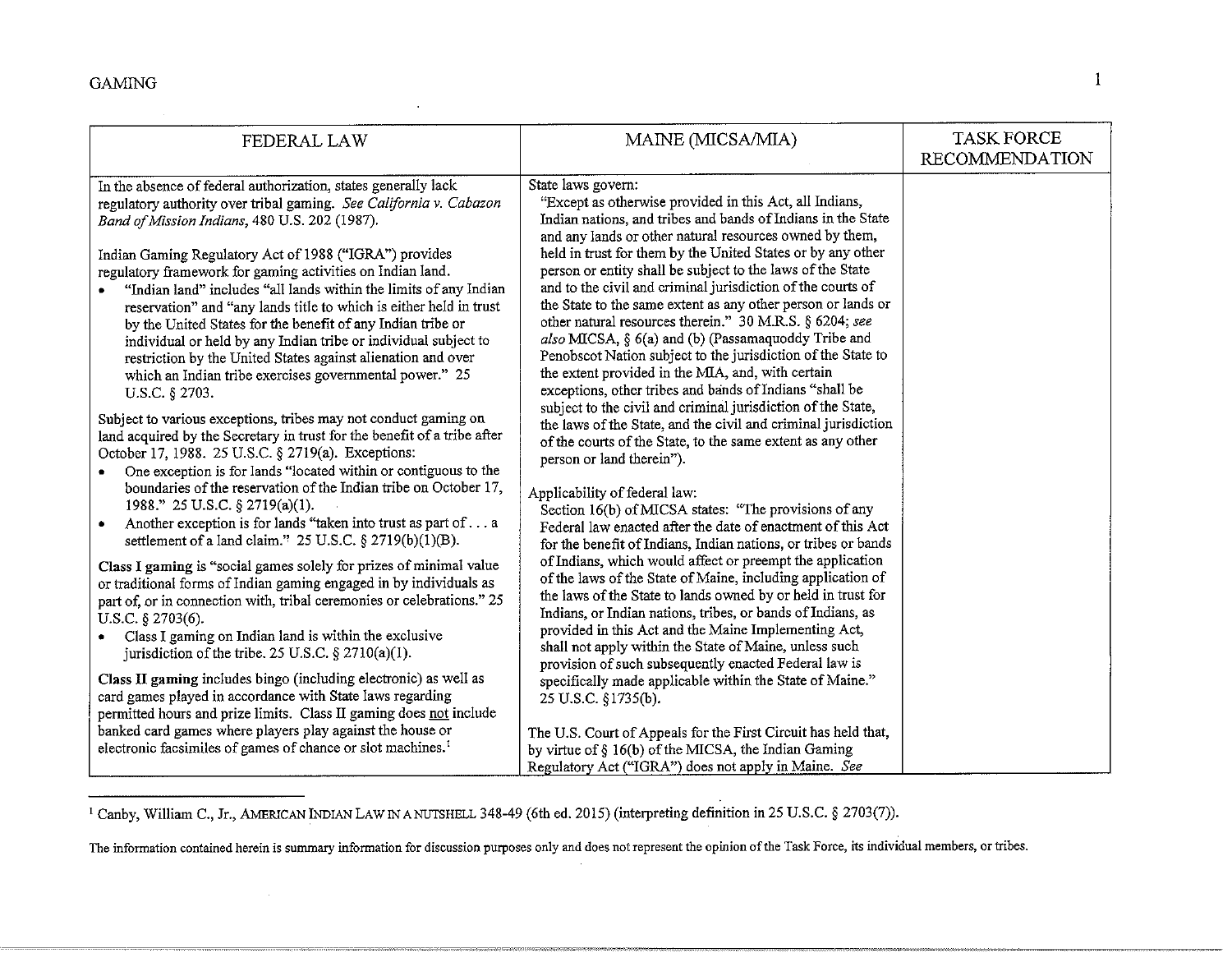$\sim$ 

| FEDERAL LAW                                                                                                                                                                                                                                                                                                                                                                                                                                                                                       | MAINE (MICSA/MIA)                                                                                                                                                                                                                                                                                                                                                                                                                                                                                                                                                                                                                                                                                                                                          | <b>TASK FORCE</b><br><b>RECOMMENDATION</b> |
|---------------------------------------------------------------------------------------------------------------------------------------------------------------------------------------------------------------------------------------------------------------------------------------------------------------------------------------------------------------------------------------------------------------------------------------------------------------------------------------------------|------------------------------------------------------------------------------------------------------------------------------------------------------------------------------------------------------------------------------------------------------------------------------------------------------------------------------------------------------------------------------------------------------------------------------------------------------------------------------------------------------------------------------------------------------------------------------------------------------------------------------------------------------------------------------------------------------------------------------------------------------------|--------------------------------------------|
| In the absence of federal authorization, states generally lack<br>regulatory authority over tribal gaming. See California v. Cabazon<br>Band of Mission Indians, 480 U.S. 202 (1987).<br>Indian Gaming Regulatory Act of 1988 ("IGRA") provides                                                                                                                                                                                                                                                   | State laws govern:<br>"Except as otherwise provided in this Act, all Indians,<br>Indian nations, and tribes and bands of Indians in the State<br>and any lands or other natural resources owned by them,<br>held in trust for them by the United States or by any other                                                                                                                                                                                                                                                                                                                                                                                                                                                                                    |                                            |
| regulatory framework for gaming activities on Indian land.<br>"Indian land" includes "all lands within the limits of any Indian<br>$\bullet$<br>reservation" and "any lands title to which is either held in trust<br>by the United States for the benefit of any Indian tribe or<br>individual or held by any Indian tribe or individual subject to<br>restriction by the United States against alienation and over<br>which an Indian tribe exercises governmental power." 25<br>U.S.C. § 2703. | person or entity shall be subject to the laws of the State<br>and to the civil and criminal jurisdiction of the courts of<br>the State to the same extent as any other person or lands or<br>other natural resources therein." 30 M.R.S. § 6204; see<br>also MICSA, § 6(a) and (b) (Passamaquoddy Tribe and<br>Penobscot Nation subject to the jurisdiction of the State to<br>the extent provided in the MIA, and, with certain<br>exceptions, other tribes and bands of Indians "shall be<br>subject to the civil and criminal jurisdiction of the State,<br>the laws of the State, and the civil and criminal jurisdiction<br>of the courts of the State, to the same extent as any other<br>person or land therein").<br>Applicability of federal law: |                                            |
| Subject to various exceptions, tribes may not conduct gaming on<br>land acquired by the Secretary in trust for the benefit of a tribe after<br>October 17, 1988. 25 U.S.C. § 2719(a). Exceptions:<br>One exception is for lands "located within or contiguous to the<br>٠<br>boundaries of the reservation of the Indian tribe on October 17,                                                                                                                                                     |                                                                                                                                                                                                                                                                                                                                                                                                                                                                                                                                                                                                                                                                                                                                                            |                                            |
| 1988." 25 U.S.C. § 2719(a)(1).<br>Another exception is for lands "taken into trust as part of a<br>$\bullet$<br>settlement of a land claim." $25$ U.S.C. § 2719(b)(1)(B).                                                                                                                                                                                                                                                                                                                         | Section 16(b) of MICSA states: "The provisions of any<br>Federal law enacted after the date of enactment of this Act<br>for the benefit of Indians, Indian nations, or tribes or bands                                                                                                                                                                                                                                                                                                                                                                                                                                                                                                                                                                     |                                            |
| Class I gaming is "social games solely for prizes of minimal value<br>or traditional forms of Indian gaming engaged in by individuals as<br>part of, or in connection with, tribal ceremonies or celebrations." 25<br>U.S.C. $\S$ 2703(6).<br>• Class I gaming on Indian land is within the exclusive<br>jurisdiction of the tribe. 25 U.S.C. $\S 2710(a)(1)$ .                                                                                                                                   | of Indians, which would affect or preempt the application<br>of the laws of the State of Maine, including application of<br>the laws of the State to lands owned by or held in trust for<br>Indians, or Indian nations, tribes, or bands of Indians, as<br>provided in this Act and the Maine Implementing Act,<br>shall not apply within the State of Maine, unless such<br>provision of such subsequently enacted Federal law is<br>specifically made applicable within the State of Maine."<br>25 U.S.C. §1735(b).<br>The U.S. Court of Appeals for the First Circuit has held that,<br>by virtue of § 16(b) of the MICSA, the Indian Gaming<br>Regulatory Act ("IGRA") does not apply in Maine. See                                                    |                                            |
| Class II gaming includes bingo (including electronic) as well as<br>card games played in accordance with State laws regarding<br>permitted hours and prize limits. Class II gaming does not include<br>banked card games where players play against the house or<br>electronic facsimiles of games of chance or slot machines. <sup>1</sup>                                                                                                                                                       |                                                                                                                                                                                                                                                                                                                                                                                                                                                                                                                                                                                                                                                                                                                                                            |                                            |

<sup>1</sup> Canby, William C., Jr., AMERICAN INDIAN LAW IN A NUTSHELL 348-49 (6th ed. 2015) (interpreting definition in 25 U.S.C. § 2703(7)).

**The information contained herein is summary information for discussion purposes only and does not represent the opinion of the Task Force, its individual members, or tribes.**